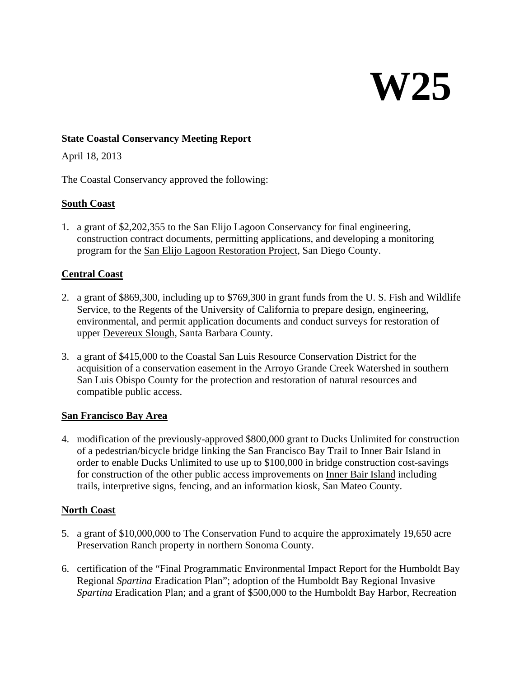# **W25**

#### **State Coastal Conservancy Meeting Report**

April 18, 2013

The Coastal Conservancy approved the following:

#### **South Coast**

1. a grant of \$2,202,355 to the San Elijo Lagoon Conservancy for final engineering, construction contract documents, permitting applications, and developing a monitoring program for the San Elijo Lagoon Restoration Project, San Diego County.

### **Central Coast**

- 2. a grant of \$869,300, including up to \$769,300 in grant funds from the U. S. Fish and Wildlife Service, to the Regents of the University of California to prepare design, engineering, environmental, and permit application documents and conduct surveys for restoration of upper Devereux Slough, Santa Barbara County.
- 3. a grant of \$415,000 to the Coastal San Luis Resource Conservation District for the acquisition of a conservation easement in the Arroyo Grande Creek Watershed in southern San Luis Obispo County for the protection and restoration of natural resources and compatible public access.

#### **San Francisco Bay Area**

4. modification of the previously-approved \$800,000 grant to Ducks Unlimited for construction of a pedestrian/bicycle bridge linking the San Francisco Bay Trail to Inner Bair Island in order to enable Ducks Unlimited to use up to \$100,000 in bridge construction cost-savings for construction of the other public access improvements on Inner Bair Island including trails, interpretive signs, fencing, and an information kiosk, San Mateo County.

### **North Coast**

- 5. a grant of \$10,000,000 to The Conservation Fund to acquire the approximately 19,650 acre Preservation Ranch property in northern Sonoma County.
- 6. certification of the "Final Programmatic Environmental Impact Report for the Humboldt Bay Regional *Spartina* Eradication Plan"; adoption of the Humboldt Bay Regional Invasive *Spartina* Eradication Plan; and a grant of \$500,000 to the Humboldt Bay Harbor, Recreation